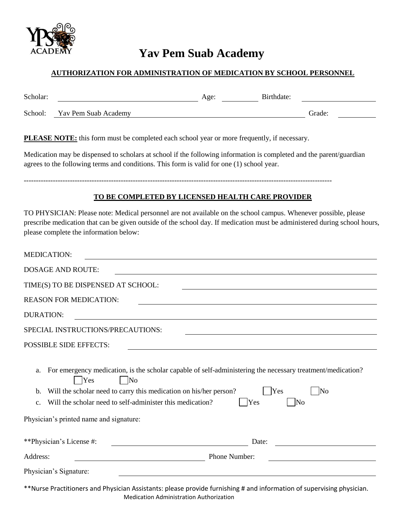

## **Yav Pem Suab Academy**

## **AUTHORIZATION FOR ADMINISTRATION OF MEDICATION BY SCHOOL PERSONNEL**

| Scholar: |                      | Age: | Birthdate: |        |  |
|----------|----------------------|------|------------|--------|--|
| School:  | Yav Pem Suab Academy |      |            | Grade: |  |

**PLEASE NOTE:** this form must be completed each school year or more frequently, if necessary.

Medication may be dispensed to scholars at school if the following information is completed and the parent/guardian agrees to the following terms and conditions. This form is valid for one (1) school year.

-------------------------------------------------------------------------------------------------------------------------------

## **TO BE COMPLETED BY LICENSED HEALTH CARE PROVIDER**

TO PHYSICIAN: Please note: Medical personnel are not available on the school campus. Whenever possible, please prescribe medication that can be given outside of the school day. If medication must be administered during school hours, please complete the information below:

| <b>MEDICATION:</b>                                                                                                                                                                                                                                                                                                                                                  |  |  |  |  |  |  |  |
|---------------------------------------------------------------------------------------------------------------------------------------------------------------------------------------------------------------------------------------------------------------------------------------------------------------------------------------------------------------------|--|--|--|--|--|--|--|
| <b>DOSAGE AND ROUTE:</b>                                                                                                                                                                                                                                                                                                                                            |  |  |  |  |  |  |  |
| TIME(S) TO BE DISPENSED AT SCHOOL:                                                                                                                                                                                                                                                                                                                                  |  |  |  |  |  |  |  |
| <b>REASON FOR MEDICATION:</b>                                                                                                                                                                                                                                                                                                                                       |  |  |  |  |  |  |  |
| <b>DURATION:</b><br><u> 1989 - Johann Barn, amerikan besteman besteman besteman besteman besteman besteman besteman besteman besteman</u>                                                                                                                                                                                                                           |  |  |  |  |  |  |  |
| SPECIAL INSTRUCTIONS/PRECAUTIONS:                                                                                                                                                                                                                                                                                                                                   |  |  |  |  |  |  |  |
| <b>POSSIBLE SIDE EFFECTS:</b><br><u> 1989 - Johann Barbara, martxa alemaniar amerikan a</u>                                                                                                                                                                                                                                                                         |  |  |  |  |  |  |  |
| For emergency medication, is the scholar capable of self-administering the necessary treatment/medication?<br>a.<br>Yes<br><b>No</b><br>Will the scholar need to carry this medication on his/her person?<br>Yes<br>No<br>b.<br>Will the scholar need to self-administer this medication?<br>Yes<br>No<br>C <sub>1</sub><br>Physician's printed name and signature: |  |  |  |  |  |  |  |
| **Physician's License #:<br>Date:                                                                                                                                                                                                                                                                                                                                   |  |  |  |  |  |  |  |
| Address:<br>Phone Number:                                                                                                                                                                                                                                                                                                                                           |  |  |  |  |  |  |  |
| Physician's Signature:                                                                                                                                                                                                                                                                                                                                              |  |  |  |  |  |  |  |

\*\*Nurse Practitioners and Physician Assistants: please provide furnishing # and information of supervising physician. Medication Administration Authorization